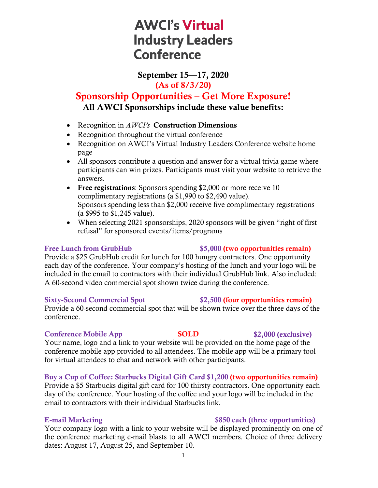## **AWCI's Virtual Industry Leaders Conference**

September 15—17, 2020 (As of 8/3/20)

## Sponsorship Opportunities – Get More Exposure! All AWCI Sponsorships include these value benefits:

- Recognition in *AWCI's* Construction Dimensions
- Recognition throughout the virtual conference
- Recognition on AWCI's Virtual Industry Leaders Conference website home page
- All sponsors contribute a question and answer for a virtual trivia game where participants can win prizes. Participants must visit your website to retrieve the answers.
- Free registrations: Sponsors spending \$2,000 or more receive 10 complimentary registrations (a \$1,990 to \$2,490 value). Sponsors spending less than \$2,000 receive five complimentary registrations (a \$995 to \$1,245 value).
- When selecting 2021 sponsorships, 2020 sponsors will be given "right of first" refusal" for sponsored events/items/programs

#### Free Lunch from GrubHub  $$5,000$  (two opportunities remain)

Provide a \$25 GrubHub credit for lunch for 100 hungry contractors. One opportunity each day of the conference. Your company's hosting of the lunch and your logo will be included in the email to contractors with their individual GrubHub link. Also included: A 60-second video commercial spot shown twice during the conference.

#### Sixty-Second Commercial Spot \$2,500 (four opportunities remain)

Provide a 60-second commercial spot that will be shown twice over the three days of the conference.

### Conference Mobile App  $SOLD$  \$2,000 (exclusive)

Your name, logo and a link to your website will be provided on the home page of the conference mobile app provided to all attendees. The mobile app will be a primary tool for virtual attendees to chat and network with other participants.

### Buy a Cup of Coffee: Starbucks Digital Gift Card \$1,200 (two opportunities remain)

Provide a \$5 Starbucks digital gift card for 100 thirsty contractors. One opportunity each day of the conference. Your hosting of the coffee and your logo will be included in the email to contractors with their individual Starbucks link.

#### E-mail Marketing  $$850$  each (three opportunities)

Your company logo with a link to your website will be displayed prominently on one of the conference marketing e-mail blasts to all AWCI members. Choice of three delivery dates: August 17, August 25, and September 10.

1